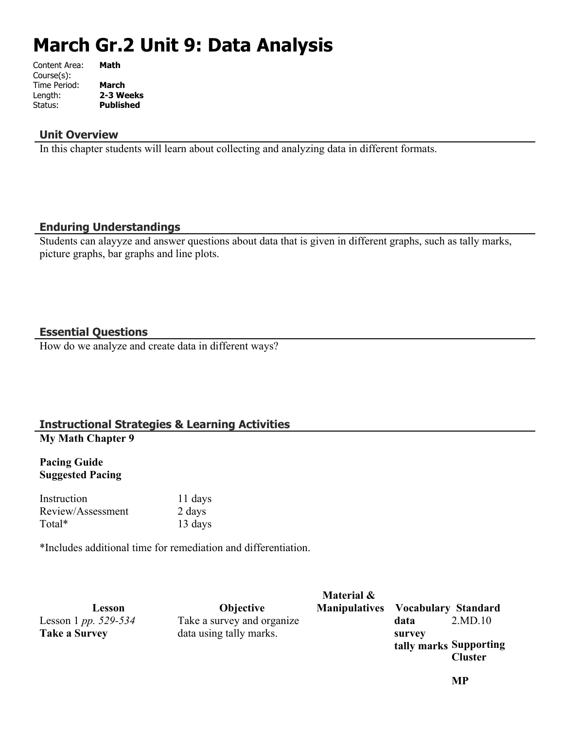# **March Gr.2 Unit 9: Data Analysis**

| Content Area: | Math             |
|---------------|------------------|
| Course(s):    |                  |
| Time Period:  | <b>March</b>     |
| Length:       | 2-3 Weeks        |
| Status:       | <b>Published</b> |
|               |                  |

#### **Unit Overview**

In this chapter students will learn about collecting and analyzing data in different formats.

#### **Enduring Understandings**

Students can alayyze and answer questions about data that is given in different graphs, such as tally marks, picture graphs, bar graphs and line plots.

# **Essential Questions**

How do we analyze and create data in different ways?

#### **Instructional Strategies & Learning Activities My Math Chapter 9**

#### **Pacing Guide Suggested Pacing**

Instruction 11 days Review/Assessment 2 days Total\* 13 days

\*Includes additional time for remediation and differentiation.

| Lesson                   | <b>Objective</b>           | Material &<br><b>Manipulatives</b> Vocabulary Standard |                                  |                |
|--------------------------|----------------------------|--------------------------------------------------------|----------------------------------|----------------|
| Lesson 1 pp. $529 - 534$ | Take a survey and organize |                                                        | data                             | 2.MD.10        |
| <b>Take a Survey</b>     | data using tally marks.    |                                                        | survey<br>tally marks Supporting | <b>Cluster</b> |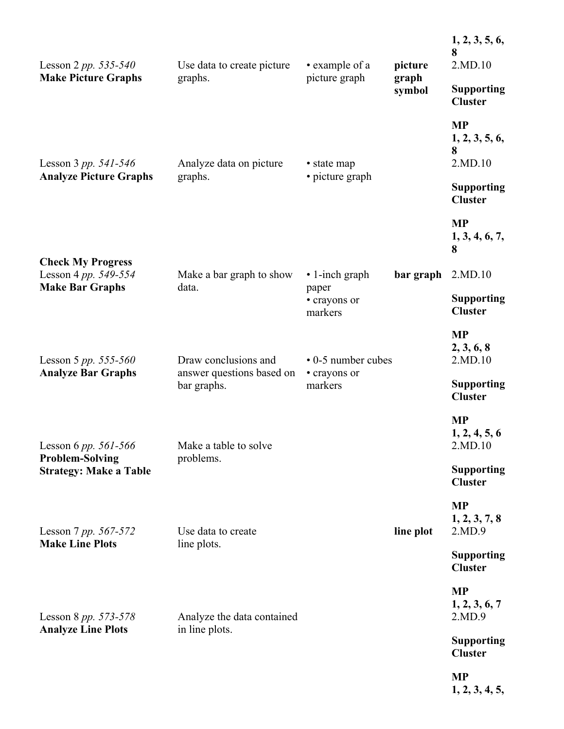| Lesson 2 <i>pp.</i> 535-540<br><b>Make Picture Graphs</b>                       | Use data to create picture<br>graphs.        | • example of a<br>picture graph  | picture<br>graph<br>symbol | 1, 2, 3, 5, 6,<br>8<br>2.MD.10              |
|---------------------------------------------------------------------------------|----------------------------------------------|----------------------------------|----------------------------|---------------------------------------------|
|                                                                                 |                                              |                                  |                            | <b>Supporting</b><br><b>Cluster</b>         |
| Lesson 3 pp. $541 - 546$                                                        | Analyze data on picture<br>graphs.           | • state map<br>• picture graph   |                            | <b>MP</b><br>1, 2, 3, 5, 6,<br>8<br>2.MD.10 |
| <b>Analyze Picture Graphs</b>                                                   |                                              |                                  |                            | <b>Supporting</b><br><b>Cluster</b>         |
|                                                                                 |                                              |                                  |                            | <b>MP</b><br>1, 3, 4, 6, 7,<br>8            |
| <b>Check My Progress</b><br>Lesson 4 pp. 549-554                                | Make a bar graph to show                     | $\cdot$ 1-inch graph             | bar graph                  | 2.MD.10                                     |
| <b>Make Bar Graphs</b>                                                          | data.                                        | paper<br>• crayons or<br>markers |                            | <b>Supporting</b><br><b>Cluster</b>         |
| Lesson 5 pp. 555-560                                                            | Draw conclusions and                         | • 0-5 number cubes               |                            | <b>MP</b><br>2, 3, 6, 8<br>2.MD.10          |
| <b>Analyze Bar Graphs</b>                                                       | answer questions based on<br>bar graphs.     | • crayons or<br>markers          |                            | <b>Supporting</b><br><b>Cluster</b>         |
| Lesson 6 pp. 561-566<br><b>Problem-Solving</b><br><b>Strategy: Make a Table</b> | Make a table to solve<br>problems.           |                                  |                            | <b>MP</b><br>1, 2, 4, 5, 6<br>2.MD.10       |
|                                                                                 |                                              |                                  |                            | <b>Supporting</b><br><b>Cluster</b>         |
| Lesson 7 pp. 567-572                                                            | Use data to create                           |                                  | line plot                  | <b>MP</b><br>1, 2, 3, 7, 8<br>2.MD.9        |
| <b>Make Line Plots</b>                                                          | line plots.                                  |                                  |                            | <b>Supporting</b><br><b>Cluster</b>         |
| Lesson 8 pp. 573-578<br><b>Analyze Line Plots</b>                               | Analyze the data contained<br>in line plots. |                                  |                            | <b>MP</b><br>1, 2, 3, 6, 7<br>2.MD.9        |
|                                                                                 |                                              |                                  |                            | <b>Supporting</b><br><b>Cluster</b>         |
|                                                                                 |                                              |                                  |                            | <b>MP</b><br>1, 2, 3, 4, 5,                 |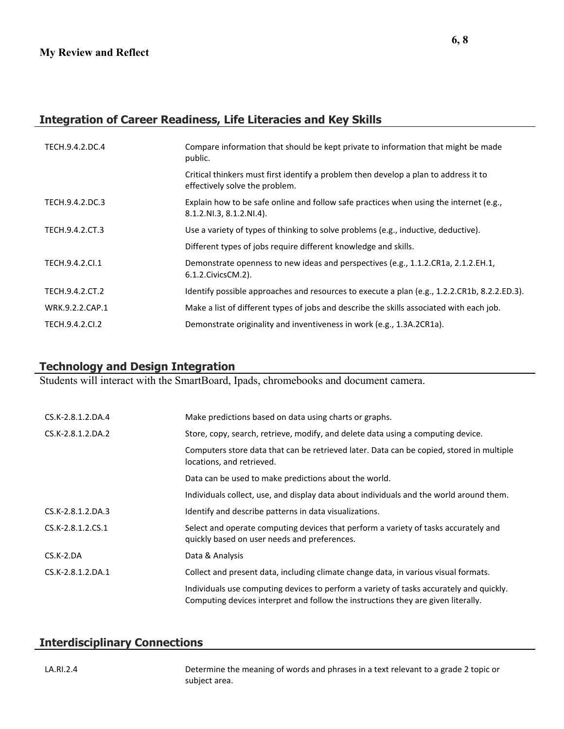# **Integration of Career Readiness, Life Literacies and Key Skills**

| TECH.9.4.2.DC.4 | Compare information that should be kept private to information that might be made<br>public.                           |
|-----------------|------------------------------------------------------------------------------------------------------------------------|
|                 | Critical thinkers must first identify a problem then develop a plan to address it to<br>effectively solve the problem. |
| TECH.9.4.2.DC.3 | Explain how to be safe online and follow safe practices when using the internet (e.g.,<br>8.1.2.NI.3, 8.1.2.NI.4).     |
| TECH.9.4.2.CT.3 | Use a variety of types of thinking to solve problems (e.g., inductive, deductive).                                     |
|                 | Different types of jobs require different knowledge and skills.                                                        |
| TECH.9.4.2.Cl.1 | Demonstrate openness to new ideas and perspectives (e.g., 1.1.2.CR1a, 2.1.2.EH.1,<br>6.1.2. Civics CM. 2).             |
| TECH.9.4.2.CT.2 | Identify possible approaches and resources to execute a plan (e.g., 1.2.2.CR1b, 8.2.2.ED.3).                           |
| WRK.9.2.2.CAP.1 | Make a list of different types of jobs and describe the skills associated with each job.                               |
| TECH.9.4.2.CI.2 | Demonstrate originality and inventiveness in work (e.g., 1.3A.2CR1a).                                                  |

# **Technology and Design Integration**

Students will interact with the SmartBoard, Ipads, chromebooks and document camera.

| CS.K-2.8.1.2.DA.4 | Make predictions based on data using charts or graphs.                                                                                                                       |
|-------------------|------------------------------------------------------------------------------------------------------------------------------------------------------------------------------|
| CS.K-2.8.1.2.DA.2 | Store, copy, search, retrieve, modify, and delete data using a computing device.                                                                                             |
|                   | Computers store data that can be retrieved later. Data can be copied, stored in multiple<br>locations, and retrieved.                                                        |
|                   | Data can be used to make predictions about the world.                                                                                                                        |
|                   | Individuals collect, use, and display data about individuals and the world around them.                                                                                      |
| CS.K-2.8.1.2.DA.3 | Identify and describe patterns in data visualizations.                                                                                                                       |
| CS.K-2.8.1.2.CS.1 | Select and operate computing devices that perform a variety of tasks accurately and<br>quickly based on user needs and preferences.                                          |
| $CS.K-2.DA$       | Data & Analysis                                                                                                                                                              |
| CS.K-2.8.1.2.DA.1 | Collect and present data, including climate change data, in various visual formats.                                                                                          |
|                   | Individuals use computing devices to perform a variety of tasks accurately and quickly.<br>Computing devices interpret and follow the instructions they are given literally. |

#### **Interdisciplinary Connections**

LA.RI.2.4 Determine the meaning of words and phrases in a text relevant to a grade 2 topic or subject area.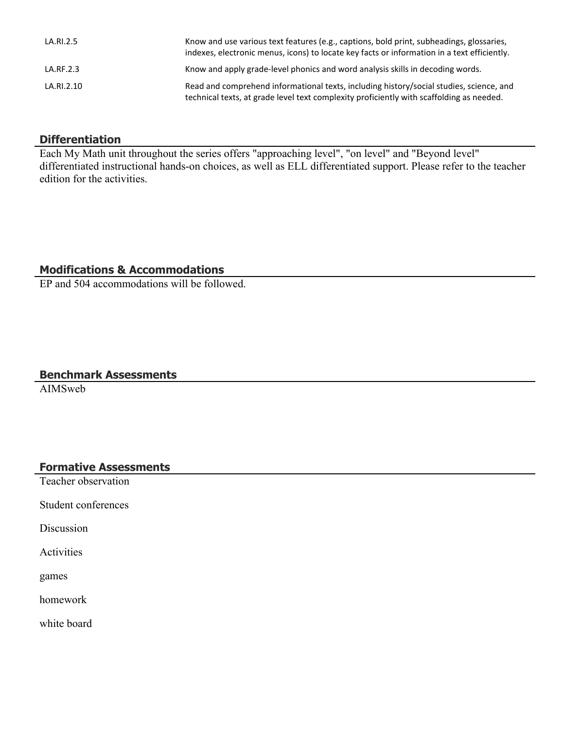| LA.RI.2.5  | Know and use various text features (e.g., captions, bold print, subheadings, glossaries,<br>indexes, electronic menus, icons) to locate key facts or information in a text efficiently. |
|------------|-----------------------------------------------------------------------------------------------------------------------------------------------------------------------------------------|
| LA.RF.2.3  | Know and apply grade-level phonics and word analysis skills in decoding words.                                                                                                          |
| LA.RI.2.10 | Read and comprehend informational texts, including history/social studies, science, and<br>technical texts, at grade level text complexity proficiently with scaffolding as needed.     |

#### **Differentiation**

Each My Math unit throughout the series offers "approaching level", "on level" and "Beyond level" differentiated instructional hands-on choices, as well as ELL differentiated support. Please refer to the teacher edition for the activities.

# **Modifications & Accommodations**

EP and 504 accommodations will be followed.

# **Benchmark Assessments**

AIMSweb

# **Formative Assessments**

Teacher observation

Student conferences

Discussion

Activities

games

homework

white board